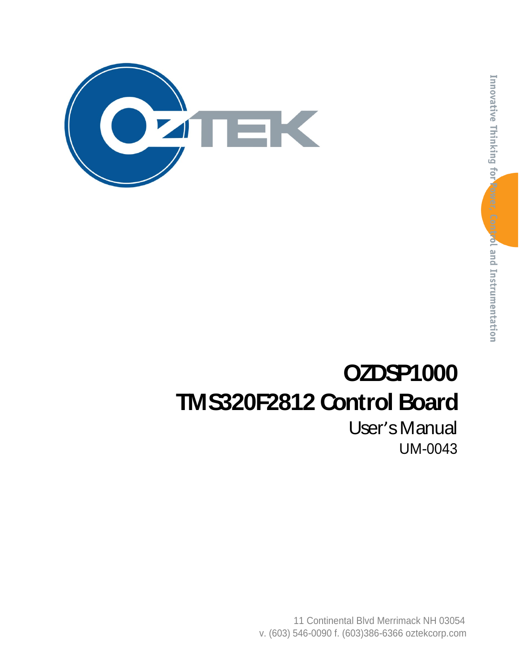

# **OZDSP1000 TMS320F2812 Control Board**

User's Manual UM-0043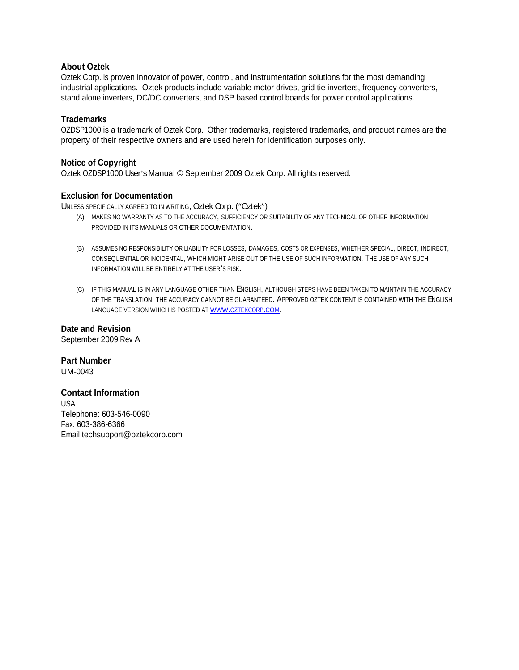#### **About Oztek**

Oztek Corp. is proven innovator of power, control, and instrumentation solutions for the most demanding industrial applications. Oztek products include variable motor drives, grid tie inverters, frequency converters, stand alone inverters, DC/DC converters, and DSP based control boards for power control applications.

#### **Trademarks**

OZDSP1000 is a trademark of Oztek Corp. Other trademarks, registered trademarks, and product names are the property of their respective owners and are used herein for identification purposes only.

#### **Notice of Copyright**

Oztek OZDSP1000 User's Manual © September 2009 Oztek Corp. All rights reserved.

#### **Exclusion for Documentation**

UNLESS SPECIFICALLY AGREED TO IN WRITING, Oztek Corp. ("Oztek")

- (A) MAKES NO WARRANTY AS TO THE ACCURACY, SUFFICIENCY OR SUITABILITY OF ANY TECHNICAL OR OTHER INFORMATION PROVIDED IN ITS MANUALS OR OTHER DOCUMENTATION.
- (B) ASSUMES NO RESPONSIBILITY OR LIABILITY FOR LOSSES, DAMAGES, COSTS OR EXPENSES, WHETHER SPECIAL, DIRECT, INDIRECT,<br>CONSEQUENTIAL OR INCIDENTAL, WHICH MIGHT ARISE OUT OF THE USE OF SUCH INFORMATION. THE USE OF ANY SUCH INFORMATION WILL BE ENTIRELY AT THE USER'S RISK.
- (C) IF THIS MANUAL IS IN ANY LANGUAGE OTHER THAN ENGLISH, ALTHOUGH STEPS HAVE BEEN TAKEN TO MAINTAIN THE ACCURACY OF THE TRANSLATION, THE ACCURACY CANNOT BE GUARANTEED. APPROVED OZTEK CONTENT IS CONTAINED WITH THE ENGLISH LANGUAGE VERSION WHICH IS POSTED AT WWW.OZTEKCORP.COM.

**Date and Revision** September 2009 Rev A

**Part Number** UM-0043

#### **Contact Information**

USA and the contract of the contract of the contract of the contract of the contract of the contract of the contract of the contract of the contract of the contract of the contract of the contract of the contract of the co Telephone: 603-546-0090 Fax: 603-386-6366 Email techsupport@oztekcorp.com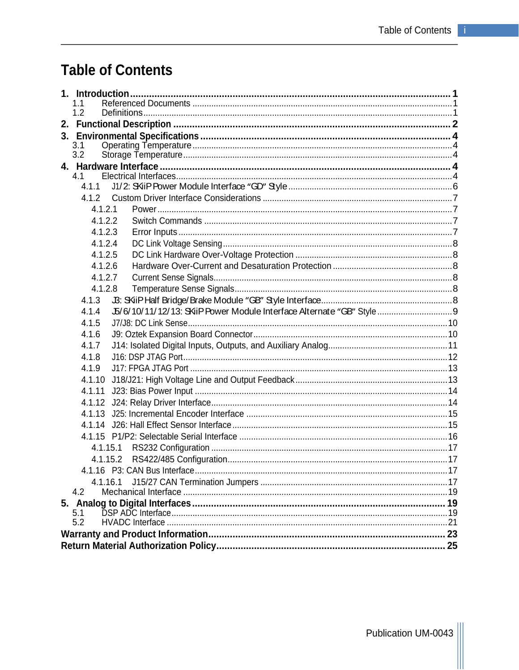# **Table of Contents**

| 1.2        |  |  |  |  |  |
|------------|--|--|--|--|--|
|            |  |  |  |  |  |
|            |  |  |  |  |  |
| 3.1<br>3.2 |  |  |  |  |  |
|            |  |  |  |  |  |
| 4.1        |  |  |  |  |  |
| 4.1.1      |  |  |  |  |  |
|            |  |  |  |  |  |
| 4.1.2.1    |  |  |  |  |  |
| 4.1.2.2    |  |  |  |  |  |
| 4.1.2.3    |  |  |  |  |  |
| 4.1.2.4    |  |  |  |  |  |
| 4.1.2.5    |  |  |  |  |  |
| 4.1.2.6    |  |  |  |  |  |
| 4.1.2.7    |  |  |  |  |  |
| 4.1.2.8    |  |  |  |  |  |
| 4.1.3      |  |  |  |  |  |
| 4.1.4      |  |  |  |  |  |
| 4.1.5      |  |  |  |  |  |
| 4.1.6      |  |  |  |  |  |
| 4.1.7      |  |  |  |  |  |
| 4.1.8      |  |  |  |  |  |
| 4.1.9      |  |  |  |  |  |
| 4.1.10     |  |  |  |  |  |
| 4.1.11     |  |  |  |  |  |
| 4.1.12     |  |  |  |  |  |
| 4.1.13     |  |  |  |  |  |
|            |  |  |  |  |  |
|            |  |  |  |  |  |
| 4.1.15.1   |  |  |  |  |  |
| 4.1.15.2   |  |  |  |  |  |
|            |  |  |  |  |  |
| 4.1.16.1   |  |  |  |  |  |
| 4.2        |  |  |  |  |  |
|            |  |  |  |  |  |
| 5.1        |  |  |  |  |  |
| 5.2        |  |  |  |  |  |
|            |  |  |  |  |  |
|            |  |  |  |  |  |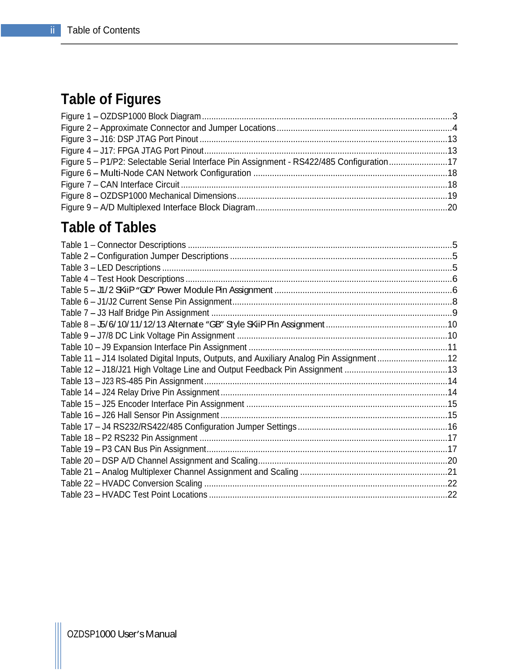# **Table of Figures**

| Figure 1 - OZDSP1000 Block Diagram                                                     |  |
|----------------------------------------------------------------------------------------|--|
| Figure 2 - Approximate Connector and Jumper Locations                                  |  |
| Figure 3 - J16: DSP JTAG Port Pinout                                                   |  |
| Figure 4 - J17: FPGA JTAG Port Pinout                                                  |  |
| Figure 5 - P1/P2: Selectable Serial Interface Pin Assignment - RS422/485 Configuration |  |
| Figure 6 - Multi-Node CAN Network Configuration                                        |  |
| Figure 7 - CAN Interface Circuit                                                       |  |
| Figure 8 - OZDSP1000 Mechanical Dimensions                                             |  |
| Figure 9 - A/D Multiplexed Interface Block Diagram                                     |  |

# **Table of Tables**

| Table 1 - Connector Descriptions                                                      |  |
|---------------------------------------------------------------------------------------|--|
| Table 2 - Configuration Jumper Descriptions                                           |  |
| Table 3 - LED Descriptions                                                            |  |
| Table 4 - Test Hook Descriptions.                                                     |  |
| Table 5 - J1/2 SKiP "GD" Power Module Pin Assignment                                  |  |
| Table 6 - J1/J2 Current Sense Pin Assignment.                                         |  |
| Table 7 - J3 Half Bridge Pin Assignment                                               |  |
| Table 8 - J5/6/10/11/12/13 Alternate "GB" Style SKiiP Pin Assignment                  |  |
| Table 9 - J7/8 DC Link Voltage Pin Assignment.                                        |  |
| Table 10 - J9 Expansion Interface Pin Assignment.                                     |  |
| Table 11 - J14 Isolated Digital Inputs, Outputs, and Auxiliary Analog Pin Assignment. |  |
| Table 12 - J18/J21 High Voltage Line and Output Feedback Pin Assignment.              |  |
| Table 13 - J23 RS-485 Pin Assignment.                                                 |  |
| Table 14 - J24 Relay Drive Pin Assignment.                                            |  |
| Table 15 - J25 Encoder Interface Pin Assignment                                       |  |
| Table 16 - J26 Hall Sensor Pin Assignment.                                            |  |
| Table 17 - J4 RS232/RS422/485 Configuration Jumper Settings                           |  |
| Table 18 - P2 RS232 Pin Assignment.                                                   |  |
| Table 19 - P3 CAN Bus Pin Assignment.                                                 |  |
| Table 20 - DSP A/D Channel Assignment and Scaling                                     |  |
| Table 21 - Analog Multiplexer Channel Assignment and Scaling.                         |  |
| Table 22 - HVADC Conversion Scaling                                                   |  |
| Table 23 - HVADC Test Point Locations.                                                |  |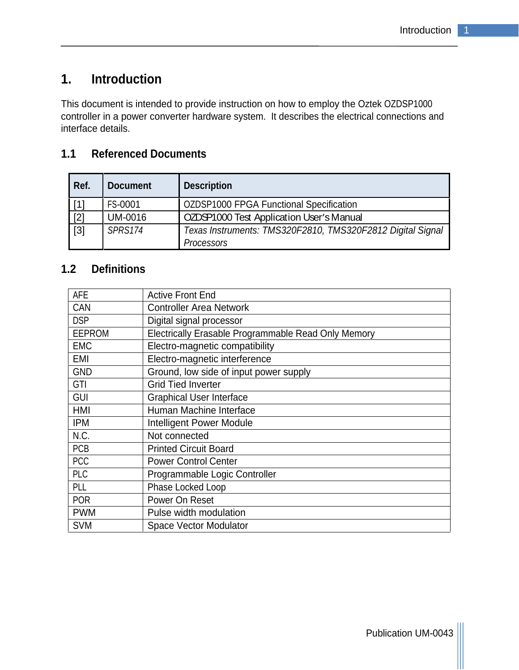# **1. Introduction**

This document is intended to provide instruction on how to employ the Oztek OZDSP1000 controller in a power converter hardware system. It describes the electrical connections and interface details.

# **1.1 Referenced Documents**

| Ref.  | Document       | Description                                                |
|-------|----------------|------------------------------------------------------------|
| [1]   | <b>FS-0001</b> | OZDSP1000 FPGA Functional Specification                    |
| [2]   | UM-0016        | OZDSP1000 Test Application User's Manual                   |
| $[3]$ | SPRS174        | Texas Instruments: TMS320F2810, TMS320F2812 Digital Signal |
|       |                | Processors                                                 |

# **1.2 Definitions**

| AFE           | Active Front End                                    |
|---------------|-----------------------------------------------------|
| CAN           | Controller Area Network                             |
| <b>DSP</b>    | Digital signal processor                            |
| <b>EEPROM</b> | Electrically Erasable Programmable Read Only Memory |
| EMC           | Electro-magnetic compatibility                      |
| EMI           | Electro-magnetic interference                       |
| GND           | Ground, low side of input power supply              |
| GTI           | Grid Tied Inverter                                  |
| GUI           | Graphical User Interface                            |
| HMI           | Human Machine Interface                             |
| <b>IPM</b>    | Intelligent Power Module                            |
| N.C.          | Not connected                                       |
| PCB           | <b>Printed Circuit Board</b>                        |
| PCC           | Power Control Center                                |
| PLC           | Programmable Logic Controller                       |
| PLL           | Phase Locked Loop                                   |
| POR           | Power On Reset                                      |
| <b>PWM</b>    | Pulse width modulation                              |
| <b>SVM</b>    | Space Vector Modulator                              |
|               |                                                     |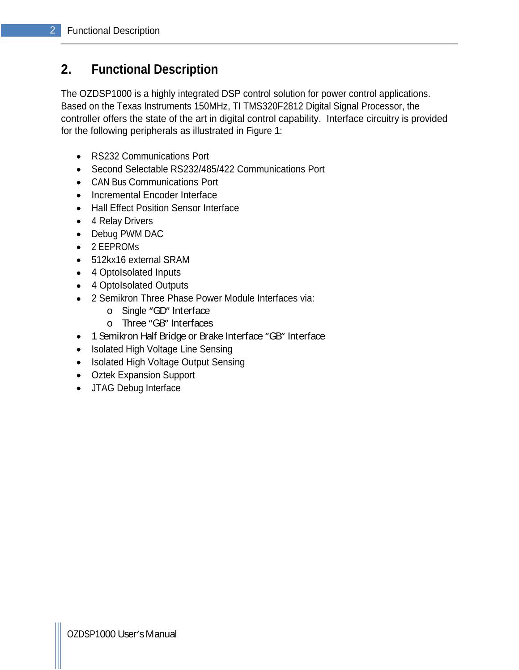# **2. Functional Description**

The OZDSP1000 is a highly integrated DSP control solution for power control applications. Based on the Texas Instruments 150MHz, TI TMS320F2812 Digital Signal Processor, the controller offers the state of the art in digital control capability. Interface circuitry is provided for the following peripherals as illustrated in Figure 1:

- RS232 Communications Port
- Second Selectable RS232/485/422 Communications Port
- CAN Bus Communications Port
- Incremental Encoder Interface
- Hall Effect Position Sensor Interface
- 4 Relay Drivers
- Debug PWM DAC
- 2 EEPROMs
- 512kx16 external SRAM
- 4 OptoIsolated Inputs
- 4 OptoIsolated Outputs
- 2 Semikron Three Phase Power Module Interfaces via:
	- o Single "GD" Interface and the state of the state of the state of the state of the state of the state of the state of the state of the state of the state of the state of the state of the state of the state of the state of
	- o Three GB Interfaces
- 1 Semikron Half Bridge or Brake Interface "GB" Interface
- Isolated High Voltage Line Sensing
- Isolated High Voltage Output Sensing
- Oztek Expansion Support
- JTAG Debug Interface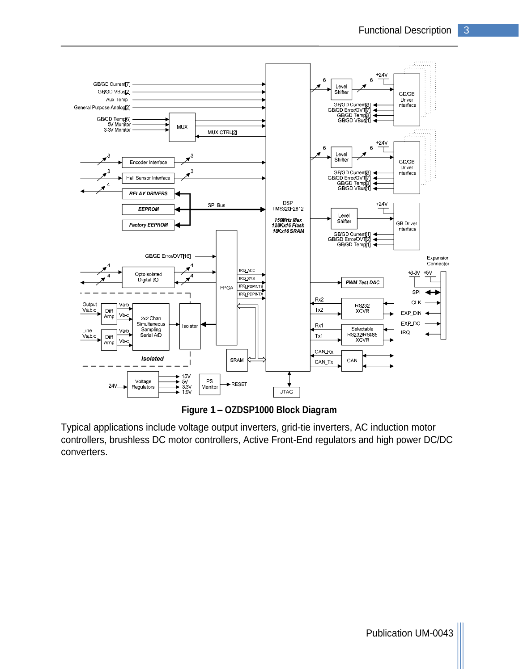

**Figure 1 OZDSP1000 Block Diagram**

Typical applications include voltage output inverters, grid-tie inverters, AC induction motor controllers, brushless DC motor controllers, Active Front-End regulators and high power DC/DC converters.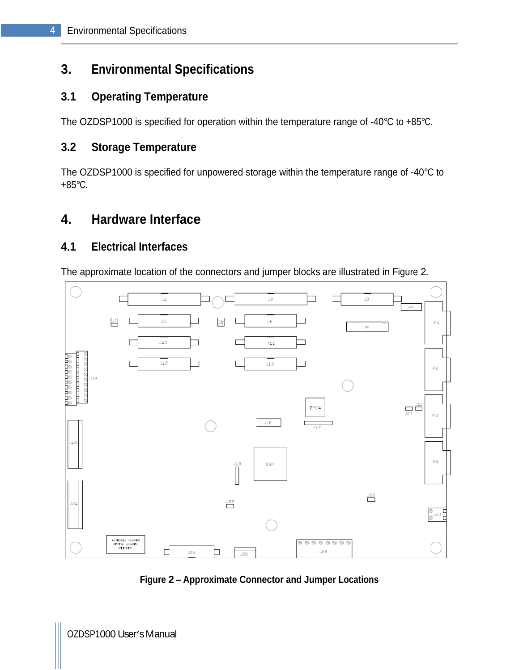# **3. Environmental Specifications**

# **3.1 Operating Temperature**

The OZDSP1000 is specified for operation within the temperature range of -40°C to +85°C.

# **3.2 Storage Temperature**

The OZDSP1000 is specified for unpowered storage within the temperature range of -40°C to +85°C.

# **4. Hardware Interface**

## **4.1 Electrical Interfaces**

The approximate location of the connectors and jumper blocks are illustrated in Figure 2.



**Figure 2 Approximate Connector and Jumper Locations**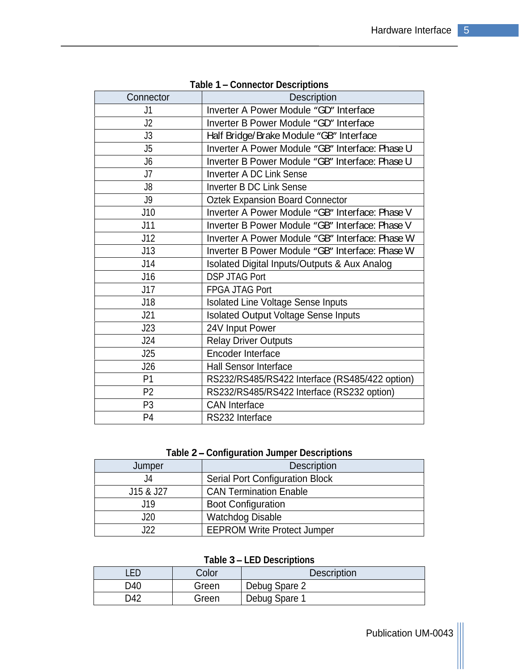| Connector       | Description                                             |
|-----------------|---------------------------------------------------------|
|                 | Inverter A Power Module "GD" Interface                  |
| J2              | Inverter B Power Module "GD" Interface                  |
| J3              | Half Bridge/Brake Module "GB" Interface                 |
|                 | Inverter A Power Module "GB" Interface: Phase U         |
|                 | Inverter B Power Module "GB" Interface: Phase U         |
| $\overline{17}$ | Inverter A DC Link Sense                                |
|                 | Inverter B DC Link Sense                                |
| ึงง             | <b>Oztek Expansion Board Connector</b>                  |
| J10             | Inverter A Power Module "GB" Interface: Phase V         |
| J11             | Inverter B Power Module "GB" Interface: Phase V         |
| J12             | Inverter A Power Module "GB" Interface: Phase W         |
| J13             | Inverter B Power Module "GB" Interface: Phase W         |
| J14             | <b>Isolated Digital Inputs/Outputs &amp; Aux Analog</b> |
| J16             | DSP JTAG Port                                           |
| J17             | FPGA JTAG Port                                          |
| J18             | <b>Isolated Line Voltage Sense Inputs</b>               |
| J21             | Isolated Output Voltage Sense Inputs                    |
| J23             | 24V Input Power                                         |
| J24             | <b>Relay Driver Outputs</b>                             |
| J25             | Encoder Interface                                       |
| J26             | Hall Sensor Interface                                   |
| <b>P1</b>       | RS232/RS485/RS422 Interface (RS485/422 option)          |
| P2              | RS232/RS485/RS422 Interface (RS232 option)              |
| <b>P3</b>       | <b>CAN</b> Interface                                    |
| D <sub>4</sub>  | RS232 Interface                                         |
|                 |                                                         |

**Table 1 Connector Descriptions**

# **Table 2 Configuration Jumper Descriptions**

| Jumper    | Description                     |
|-----------|---------------------------------|
|           | Serial Port Configuration Block |
| J15 & J27 | CAN Termination Enable          |
|           | <b>Boot Configuration</b>       |
| ◡∸◡       | <b>Watchdog Disable</b>         |
| $\sim$    | EEPROM Write Protect Jumper     |

# **Table 3 LED Descriptions**

| LED<br>Color | Description   |
|--------------|---------------|
| D40<br>Greer | Debug Spare 2 |
| D42<br>Greer | Debug Spare   |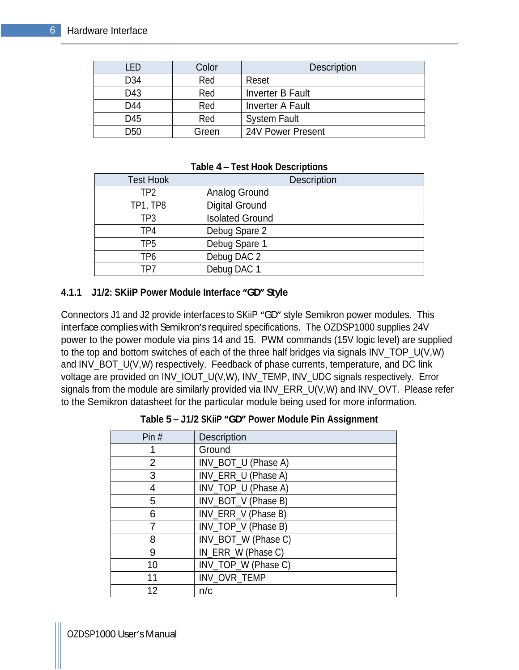| <b>LED</b>      | Color | Description       |
|-----------------|-------|-------------------|
| D34             | Red   | Reset             |
| D43             | Red   | Inverter B Fault  |
| D44             | Red   | Inverter A Fault  |
| D45             | Red   | System Fault      |
| D <sub>50</sub> | Green | 24V Power Present |

#### **Table 4 Test Hook Descriptions**

| <b>Test Hook</b>        | Description            |
|-------------------------|------------------------|
| TP <sub>2</sub><br>11 L | Analog Ground          |
| TP1, TP8<br>. .         | <b>Digital Ground</b>  |
| TP <sub>3</sub>         | <b>Isolated Ground</b> |
| TD <sub>1</sub>         | Debug Spare 2          |
| <b>TD5</b>              | Debug Spare 1          |
| TP <sub>6</sub>         | Debug DAC 2            |
| TP7<br>.                | Debug DAC 1            |

#### **4.1.1 J1/2: SKiiP Power Module Interface "GD" Style**

Connectors J1 and J2 provide interfaces to SKiiP "GD" style Semikron power modules. This interface complies with Semikron's required specifications. The OZDSP1000 supplies 24V power to the power module via pins 14 and 15. PWM commands (15V logic level) are supplied to the top and bottom switches of each of the three half bridges via signals INV\_TOP\_U(V,W) and INV\_BOT\_U(V,W) respectively. Feedback of phase currents, temperature, and DC link voltage are provided on INV\_IOUT\_U(V,W), INV\_TEMP, INV\_UDC signals respectively. Error signals from the module are similarly provided via INV\_ERR\_U(V,W) and INV\_OVT. Please refer to the Semikron datasheet for the particular module being used for more information.

| Pin#            | Description         |
|-----------------|---------------------|
|                 | Ground              |
|                 | INV_BOT_U (Phase A) |
|                 | INV_ERR_U (Phase A) |
|                 | INV_TOP_U (Phase A) |
|                 | INV_BOT_V (Phase B) |
|                 | NV_ERR_V (Phase B)  |
|                 | INV_TOP_V (Phase B) |
|                 | INV_BOT_W (Phase C) |
|                 | IN_ERR_W (Phase C)  |
| 10 <sup>°</sup> | INV_TOP_W (Phase C) |
| 11              | INV_OVR_TEMP        |
| 12 <sup>2</sup> | n/c                 |

| Table 5 - J1/2 SKiiP "GD" Power Module Pin Assignment |  |  |
|-------------------------------------------------------|--|--|
|                                                       |  |  |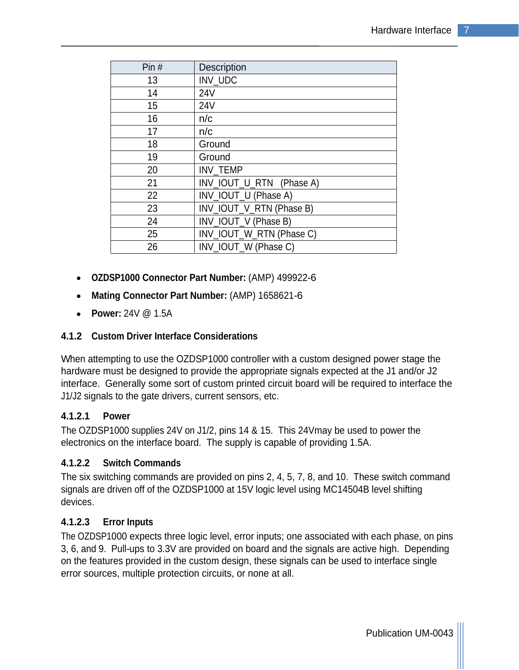| Pin $#$ | Description              |
|---------|--------------------------|
| 13      | INV_UDC                  |
| 14      | 24V                      |
| 15      | <b>24V</b>               |
| 16      | n/c                      |
| 17      | n/c                      |
| 18      | Ground                   |
| 19      | Ground                   |
| 20      | INV_TEMP                 |
| 21      | INV_IOUT_U_RTN (Phase A) |
| 22      | INV_IOUT_U (Phase A)     |
| 23      | INV_IOUT_V_RTN (Phase B) |
| 24      | INV_IOUT_V (Phase B)     |
| 25      | NV_IOUT_W_RTN (Phase C)  |
| 26      | INV_IOUT_W (Phase C)     |

- **OZDSP1000 Connector Part Number:** (AMP) 499922-6
- **Mating Connector Part Number:** (AMP) 1658621-6
- **Power:** 24V @ 1.5A

#### **4.1.2 Custom Driver Interface Considerations**

When attempting to use the OZDSP1000 controller with a custom designed power stage the hardware must be designed to provide the appropriate signals expected at the J1 and/or J2 interface. Generally some sort of custom printed circuit board will be required to interface the J1/J2 signals to the gate drivers, current sensors, etc.

#### **4.1.2.1 Power**

The OZDSP1000 supplies 24V on J1/2, pins 14 & 15. This 24Vmay be used to power the electronics on the interface board. The supply is capable of providing 1.5A.

#### **4.1.2.2 Switch Commands**

The six switching commands are provided on pins 2, 4, 5, 7, 8, and 10. These switch command signals are driven off of the OZDSP1000 at 15V logic level using MC14504B level shifting devices. The contract of the contract of the contract of the contract of the contract of the contract of the contract of the contract of the contract of the contract of the contract of the contract of the contract of the c

## **4.1.2.3 Error Inputs**

The OZDSP1000 expects three logic level, error inputs; one associated with each phase, on pins 3, 6, and 9. Pull-ups to 3.3V are provided on board and the signals are active high. Depending on the features provided in the custom design, these signals can be used to interface single error sources, multiple protection circuits, or none at all.

Publication UM-0043 |||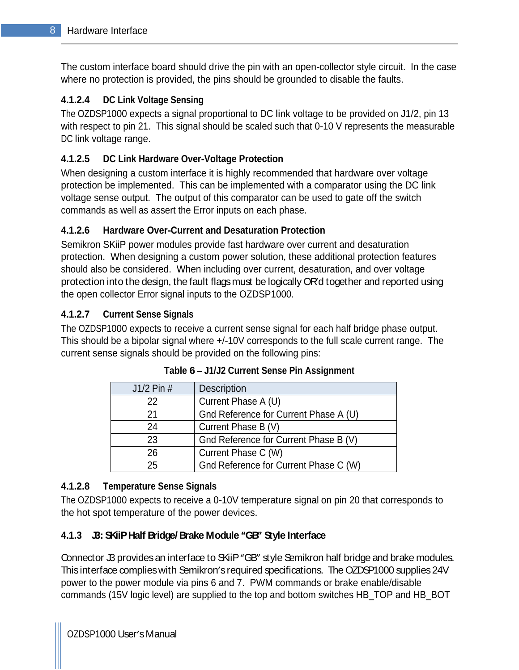The custom interface board should drive the pin with an open-collector style circuit. In the case where no protection is provided, the pins should be grounded to disable the faults.

# **4.1.2.4 DC Link Voltage Sensing**

The OZDSP1000 expects a signal proportional to DC link voltage to be provided on J1/2, pin 13 with respect to pin 21. This signal should be scaled such that 0-10 V represents the measurable DC link voltage range.

## **4.1.2.5 DC Link Hardware Over-Voltage Protection**

When designing a custom interface it is highly recommended that hardware over voltage protection be implemented. This can be implemented with a comparator using the DC link voltage sense output. The output of this comparator can be used to gate off the switch commands as well as assert the Error inputs on each phase.

## **4.1.2.6 Hardware Over-Current and Desaturation Protection**

Semikron SKiiP power modules provide fast hardware over current and desaturation protection. When designing a custom power solution, these additional protection features should also be considered. When including over current, desaturation, and over voltage protection into the design, the fault flags must be logically OR'd together and reported using the open collector Error signal inputs to the OZDSP1000.

## **4.1.2.7 Current Sense Signals**

The OZDSP1000 expects to receive a current sense signal for each half bridge phase output. This should be a bipolar signal where +/-10V corresponds to the full scale current range. The current sense signals should be provided on the following pins:

| J1/2 Pin # | Description                           |
|------------|---------------------------------------|
| 22         | Current Phase A (U)                   |
| $\Omega$   | Gnd Reference for Current Phase A (U) |
| 24         | Current Phase B (V)                   |
| າາ<br>∠∪   | Gnd Reference for Current Phase B (V) |
| 26         | Current Phase C (W)                   |
| つに<br>∠∪   | Gnd Reference for Current Phase C (W) |

#### **Table 6 J1/J2 Current Sense Pin Assignment**

#### **4.1.2.8 Temperature Sense Signals**

The OZDSP1000 expects to receive a 0-10V temperature signal on pin 20 that corresponds to the hot spot temperature of the power devices.

## **4.1.3 J3: SKiiPHalf Bridge/ Brake Module GB Style Interface**

Connector J3 provides an interface to SKiiP "GB" style Semikron half bridge and brake modules. This interface complies with Semikron's required specifications. The OZDSP1000 supplies 24V power to the power module via pins 6 and 7. PWM commands or brake enable/disable commands (15V logic level) are supplied to the top and bottom switches HB\_TOP and HB\_BOT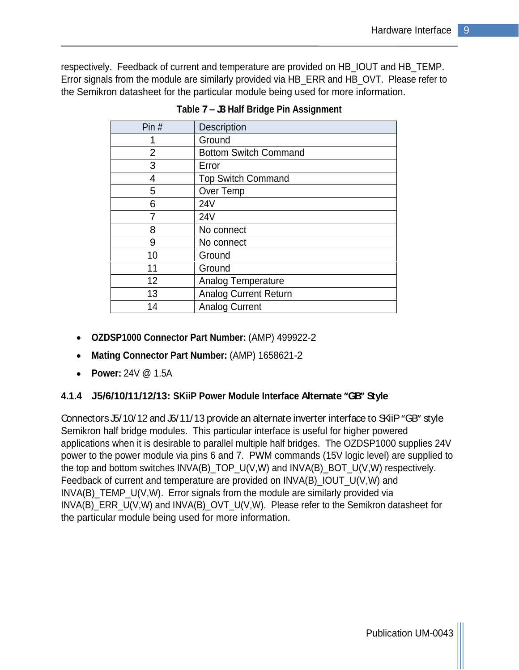respectively. Feedback of current and temperature are provided on HB\_IOUT and HB\_TEMP. Error signals from the module are similarly provided via HB\_ERR and HB\_OVT. Please refer to the Semikron datasheet for the particular module being used for more information.

| Pin# | Description                  |  |
|------|------------------------------|--|
|      | Ground                       |  |
|      | <b>Bottom Switch Command</b> |  |
|      | Error                        |  |
|      | <b>Top Switch Command</b>    |  |
|      | Over Temp                    |  |
|      | 24V                          |  |
|      | 24V                          |  |
| א    | No connect                   |  |
|      | No connect                   |  |
| 10   | Ground                       |  |
| 11   | Ground                       |  |
| 12   | Analog Temperature           |  |
| 13   | Analog Current Return        |  |
| 14   | <b>Analog Current</b>        |  |

**Table 7 J3 Half Bridge Pin Assignment**

- **OZDSP1000 Connector Part Number:** (AMP) 499922-2
- **Mating Connector Part Number:** (AMP) 1658621-2
- **Power:** 24V @ 1.5A

#### **4.1.4 J5/6/10/11/12/13: SKiiP Power Module Interface Alternate GB Style**

Connectors J5/10/12 and J6/11/13 provide an alternate inverter interface to SKiiP "GB" style Semikron half bridge modules. This particular interface is useful for higher powered applications when it is desirable to parallel multiple half bridges. The OZDSP1000 supplies 24V power to the power module via pins 6 and 7. PWM commands (15V logic level) are supplied to the top and bottom switches INVA(B)\_TOP\_U(V,W) and INVA(B)\_BOT\_U(V,W) respectively. Feedback of current and temperature are provided on INVA(B)\_IOUT\_U(V,W) and INVA(B)\_TEMP\_U(V,W). Error signals from the module are similarly provided via INVA(B) ERR  $U(V,W)$  and INVA(B) OVT  $U(V,W)$ . Please refer to the Semikron datasheet for the particular module being used for more information.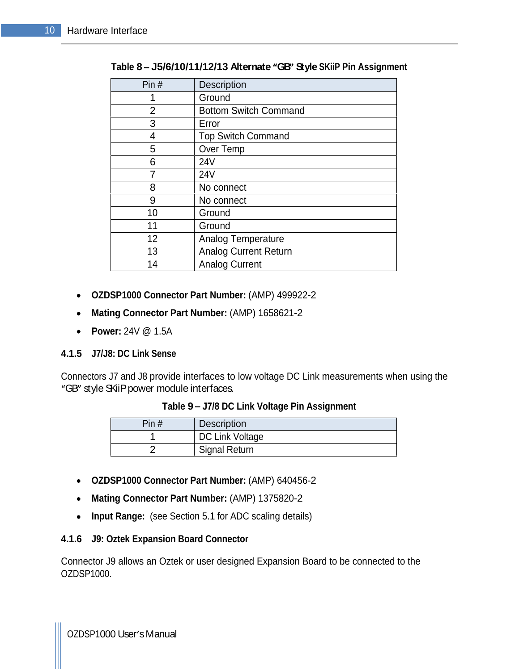| Pin# | Description                  |
|------|------------------------------|
|      | Ground                       |
|      | <b>Bottom Switch Command</b> |
|      | Error                        |
|      | <b>Top Switch Command</b>    |
|      | Over Temp                    |
|      | <b>24V</b>                   |
|      | <b>24V</b>                   |
|      | No connect                   |
|      | No connect                   |
| 10   | Ground                       |
| 11   | Ground                       |
| 12   | Analog Temperature           |
| 13   | <b>Analog Current Return</b> |
| 14   | <b>Analog Current</b>        |

| Table 8 - J5/6/10/11/12/13 Alternate "GB" Style SKiiP Pin Assignment |  |
|----------------------------------------------------------------------|--|
|                                                                      |  |

- **OZDSP1000 Connector Part Number:** (AMP) 499922-2
- **Mating Connector Part Number:** (AMP) 1658621-2
- **Power:** 24V @ 1.5A

#### **4.1.5 J7/J8: DC Link Sense**

Connectors J7 and J8 provide interfaces to low voltage DC Link measurements when using the "GB" style SKiiPpower module interfaces.

#### **Table 9 J7/8 DC Link Voltage Pin Assignment**

| Pin $#$ | <sup>I</sup> Description |
|---------|--------------------------|
|         | DC Li<br>Link Voltage    |
|         | <b>Signal Return</b>     |

- **OZDSP1000 Connector Part Number:** (AMP) 640456-2
- **Mating Connector Part Number:** (AMP) 1375820-2
- **Input Range:** (see Section 5.1 for ADC scaling details)

#### **4.1.6 J9: Oztek Expansion Board Connector**

Connector J9 allows an Oztek or user designed Expansion Board to be connected to the OZDSP1000.

OZDSP1000 User's Manual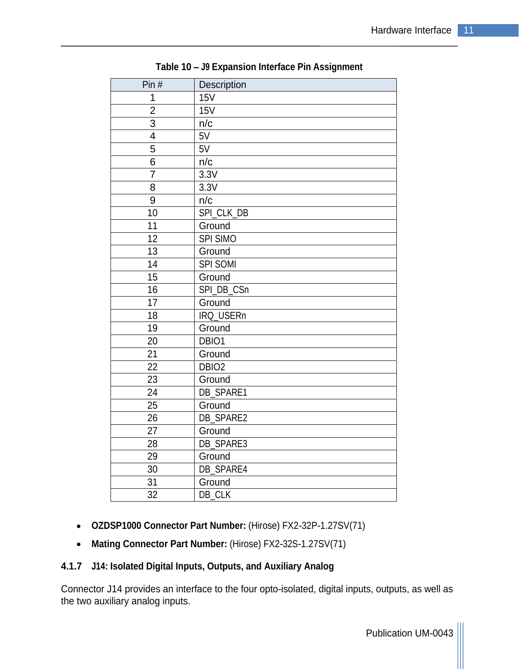| Pin $#$         | Description       |
|-----------------|-------------------|
| $\overline{1}$  | 15V               |
| $\overline{2}$  | 15V               |
| 3 <sup>1</sup>  | n/c               |
| $\overline{4}$  | 5V                |
| $5\overline{)}$ | 5V                |
| $6\overline{6}$ | n/c               |
| $\overline{7}$  | 3.3V              |
| 8               | 3.3V              |
| 9               | n/c               |
| 10 <sup>1</sup> | SPI_CLK_DB        |
| 11              | Ground            |
| 12              | SPI SIMO          |
| 13              | Ground            |
| 14              | SPI SOMI          |
| 15              | Ground            |
| 16              | SPI_DB_CSn        |
| 17              | Ground            |
| 18              | IRQ_USERn         |
| 19              | Ground            |
| 20              | DBIO1             |
| 21              | Ground            |
| 22              | DBIO <sub>2</sub> |
| 23              | Ground            |
| 24              | DB_SPARE1         |
| 25              | Ground            |
| 26              | DB_SPARE2         |
| 27              | Ground            |
| 28              | DB_SPARE3         |
| 29              | Ground            |
| 30              | DB_SPARE4         |
| 31              | Ground            |
| 32              | DB_CLK            |

**Table 10 J9 Expansion Interface Pin Assignment**

- **OZDSP1000 Connector Part Number:** (Hirose) FX2-32P-1.27SV(71)
- **Mating Connector Part Number:** (Hirose) FX2-32S-1.27SV(71)

# **4.1.7 J14: Isolated Digital Inputs, Outputs, and Auxiliary Analog**

Connector J14 provides an interface to the four opto-isolated, digital inputs, outputs, as well as the two auxiliary analog inputs.

Publication UM-0043 |||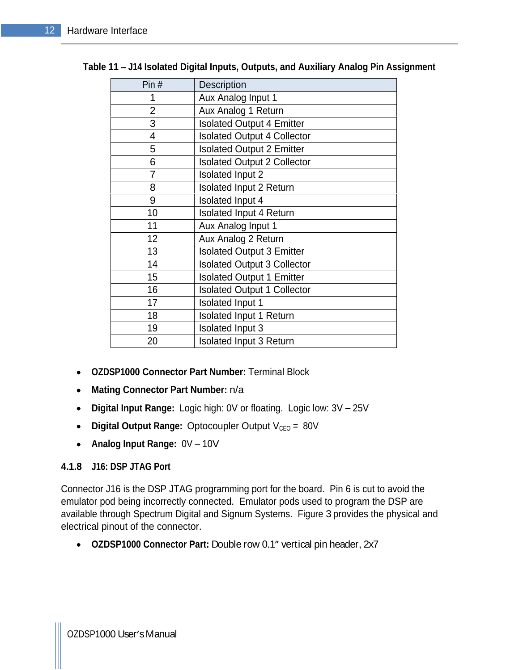| Pin#            | Description                        |
|-----------------|------------------------------------|
|                 | Aux Analog Input 1                 |
| $\overline{2}$  | Aux Analog 1 Return                |
| 3               | Isolated Output 4 Emitter          |
|                 | <b>Isolated Output 4 Collector</b> |
|                 | <b>Isolated Output 2 Emitter</b>   |
| 6               | <b>Isolated Output 2 Collector</b> |
|                 | Isolated Input 2                   |
| 8               | Isolated Input 2 Return            |
| 9               | Isolated Input 4                   |
| 10 <sup>°</sup> | Isolated Input 4 Return            |
| 11              | Aux Analog Input 1                 |
| 12              | Aux Analog 2 Return                |
| 13              | <b>Isolated Output 3 Emitter</b>   |
| 14              | <b>Isolated Output 3 Collector</b> |
| 15              | <b>Isolated Output 1 Emitter</b>   |
| 16              | <b>Isolated Output 1 Collector</b> |
| 17              | Isolated Input 1                   |
| 18              | Isolated Input 1 Return            |
| 19              | Isolated Input 3                   |
| 20              | Isolated Input 3 Return            |

#### **Table 11 J14 Isolated Digital Inputs, Outputs, and Auxiliary Analog Pin Assignment**

- **OZDSP1000 Connector Part Number:** Terminal Block
- **Mating Connector Part Number:** n/a  $\bullet$
- $\bullet$ **Digital Input Range:** Logic high: 0V or floating. Logic low: 3V - 25V
- **•** Digital Output Range: Optocoupler Output V<sub>CEO</sub> = 80V
- **Analog Input Range:**  $0V 10V$

#### **4.1.8 J16: DSP JTAG Port**

Connector J16 is the DSP JTAG programming port for the board. Pin 6 is cut to avoid the emulator pod being incorrectly connected. Emulator pods used to program the DSP are available through Spectrum Digital and Signum Systems. Figure 3 provides the physical and electrical pinout of the connector.

• OZDSP1000 Connector Part: Double row 0.1" vertical pin header, 2x7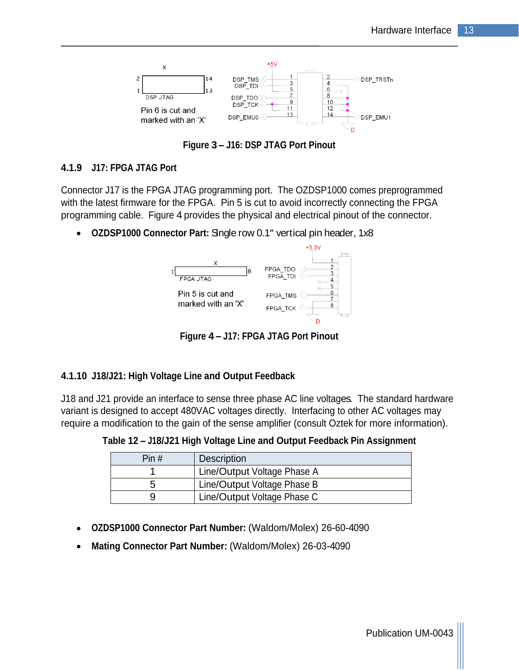

**Figure 3 J16: DSP JTAG Port Pinout**

#### **4.1.9 J17: FPGA JTAG Port**

Connector J17 is the FPGA JTAG programming port. The OZDSP1000 comes preprogrammed with the latest firmware for the FPGA. Pin 5 is cut to avoid incorrectly connecting the FPGA programming cable. Figure 4 provides the physical and electrical pinout of the connector.

• OZDSP1000 Connector Part: Single row 0.1" vertical pin header, 1x8



**Figure 4 J17: FPGA JTAG Port Pinout**

#### **4.1.10 J18/J21: High Voltage Line and Output Feedback**

J18 and J21 provide an interface to sense three phase AC line voltages. The standard hardware variant is designed to accept 480VAC voltages directly. Interfacing to other AC voltages may require a modification to the gain of the sense amplifier (consult Oztek for more information).

**Table 12 J18/J21 High Voltage Line and Output Feedback Pin Assignment**

| Pin# | $ -$<br>  Description       |
|------|-----------------------------|
|      | Line/Output Voltage Phase A |
|      | Line/Output Voltage Phase B |
|      | ne/Output Voltage Phase C   |

- **OZDSP1000 Connector Part Number:** (Waldom/Molex) 26-60-4090
- **Mating Connector Part Number:** (Waldom/Molex) 26-03-4090 $\bullet$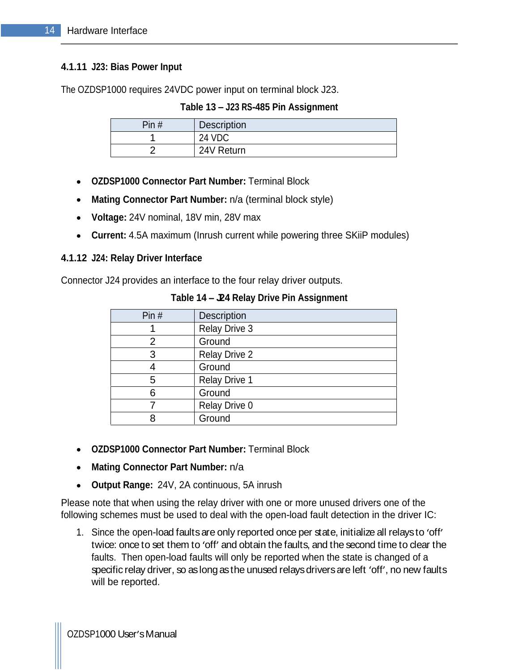#### **4.1.11 J23: Bias Power Input**

The OZDSP1000 requires 24VDC power input on terminal block J23.

#### **Table 13 J23 RS-485 Pin Assignment**

| Pin# | ∣ Description |
|------|---------------|
| - -  | 0.110c        |
|      | 24V Return    |

- **OZDSP1000 Connector Part Number:** Terminal Block
- **Mating Connector Part Number:** n/a (terminal block style)
- **Voltage:** 24V nominal, 18V min, 28V max
- **Current:** 4.5A maximum (Inrush current while powering three SKiiP modules)

#### **4.1.12 J24: Relay Driver Interface**

Connector J24 provides an interface to the four relay driver outputs.

| Pin# | Description          |
|------|----------------------|
|      | Relay Drive 3        |
|      | Ground               |
|      | Relay Drive 2        |
|      | Ground               |
|      | <b>Relay Drive 1</b> |
|      | Ground               |
|      | Relay Drive 0        |
|      | Ground               |

**Table 14 J24 Relay Drive Pin Assignment**

- **OZDSP1000 Connector Part Number:** Terminal Block
- **Mating Connector Part Number:** n/a
- **Output Range:** 24V, 2A continuous, 5A inrush  $\bullet$

Please note that when using the relay driver with one or more unused drivers one of the following schemes must be used to deal with the open-load fault detection in the driver IC:

1. Since the open-load faults are only reported once per state, initialize all relaysto 'off' twice: once to set them to 'off' and obtain the faults, and the second time to clear the faults. Then open-load faults will only be reported when the state is changed of a specific relay driver, so as long as the unused relays drivers are left 'off', no new faults will be reported.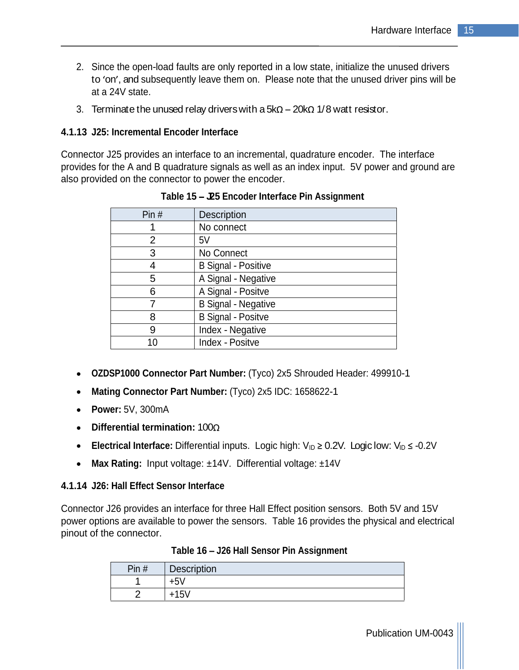- 2. Since the open-load faults are only reported in a low state, initialize the unused drivers to 'on', and subsequently leave them on. Please note that the unused driver pins will be at a 24V state.
- 3. Terminate the unused relay drivers with a  $5k\Omega 20k\Omega$  1/8 watt resistor.

#### **4.1.13 J25: Incremental Encoder Interface**

Connector J25 provides an interface to an incremental, quadrature encoder. The interface provides for the A and B quadrature signals as well as an index input. 5V power and ground are also provided on the connector to power the encoder.

| Pin $#$ | Description         |
|---------|---------------------|
|         | No connect          |
|         |                     |
|         | No Connect          |
|         | B Signal - Positive |
|         | A Signal - Negative |
|         | A Signal - Positve  |
|         | B Signal - Negative |
|         | B Signal - Positve  |
|         | Index - Negative    |
| 10      | Index - Positve     |

 **Table 15 J25 Encoder Interface Pin Assignment**

- **OZDSP1000 Connector Part Number:** (Tyco) 2x5 Shrouded Header: 499910-1
- **Mating Connector Part Number:** (Tyco) 2x5 IDC: 1658622-1
- **Power:** 5V, 300mA
- **Differential termination:** 100
- **Electrical Interface:** Differential inputs. Logic high:  $V_{ID} \ge 0.2V$ . Logic low:  $V_{ID} \le -0.2V$
- **Max Rating:** Input voltage: ±14V. Differential voltage: ±14V

#### **4.1.14 J26: Hall Effect Sensor Interface**

Connector J26 provides an interface for three Hall Effect position sensors. Both 5V and 15V power options are available to power the sensors. Table 16 provides the physical and electrical pinout of the connector.

| $\sim$<br>Pin# | <b>Desc</b><br>vu.           |
|----------------|------------------------------|
|                |                              |
|                |                              |
|                | $\pm 1.5$ <sup>1</sup><br>╵┙ |

| Table 16 –<br>- J26 Hall Sensor Pin Assignment |  |
|------------------------------------------------|--|
|                                                |  |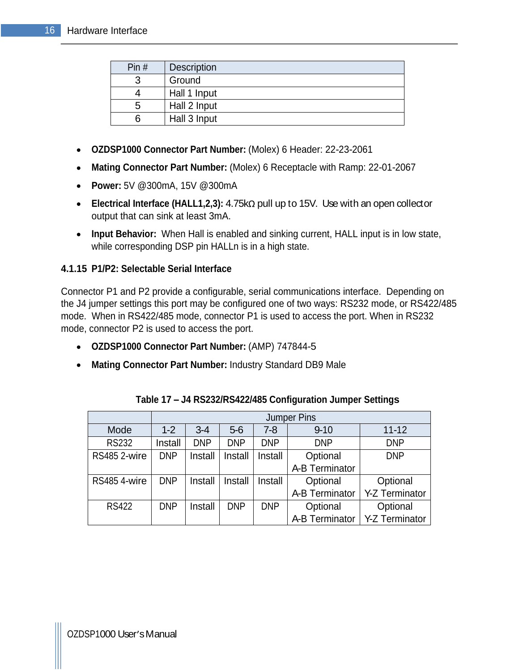| $\Box$ Din $F$<br>$\cdot$ 11 $\pm$ $\sim$ | Description  |
|-------------------------------------------|--------------|
|                                           | Ground       |
|                                           | Hall 1 Input |
|                                           | Hall 2 Input |
|                                           | Hall 3 Input |

- **OZDSP1000 Connector Part Number:** (Molex) 6 Header: 22-23-2061
- **Mating Connector Part Number:** (Molex) 6 Receptacle with Ramp: 22-01-2067
- **Power:** 5V @300mA, 15V @300mA
- Electrical Interface (HALL1,2,3): 4.75kΩ pull up to 15V. Use with an open collector output that can sink at least 3mA.
- **Input Behavior:** When Hall is enabled and sinking current, HALL input is in low state, while corresponding DSP pin HALLn is in a high state.

#### **4.1.15 P1/P2: Selectable Serial Interface**

Connector P1 and P2 provide a configurable, serial communications interface. Depending on the J4 jumper settings this port may be configured one of two ways: RS232 mode, or RS422/485 mode. When in RS422/485 mode, connector P1 is used to access the port. When in RS232 mode, connector P2 is used to access the port.

- **OZDSP1000 Connector Part Number:** (AMP) 747844-5
- **Mating Connector Part Number:** Industry Standard DB9 Male

|                                                  |         |               |            |            | Jumper Pins                     |            |
|--------------------------------------------------|---------|---------------|------------|------------|---------------------------------|------------|
| Mode                                             | $1-2$   | $3 - 4$       | $5-6$      | $7 - 8$    | $9 - 10$                        | $11 - 12$  |
| <b>RS232</b>                                     | Install | חוזה          | <b>DNP</b> | <b>DNP</b> | <b>DNP</b>                      | <b>DNP</b> |
| RS485 2-wire   DNP   Install   Install   Install |         |               |            |            | Optional                        | <b>DNP</b> |
|                                                  |         |               |            |            | A-B Terminator                  |            |
| RS485 4-wire   DNP   Install   Install   Install |         |               |            |            | Optional                        | Optional   |
|                                                  |         |               |            |            | A-B Terminator   Y-Z Terminator |            |
| <b>RS422</b>                                     |         | DNP   Install | <b>DNP</b> | <b>DNP</b> | Optional                        | Optional   |
|                                                  |         |               |            |            | A-B Terminator   Y-Z Terminator |            |

| Table 17 - J4 RS232/RS422/485 Configuration Jumper Settings |  |
|-------------------------------------------------------------|--|
|                                                             |  |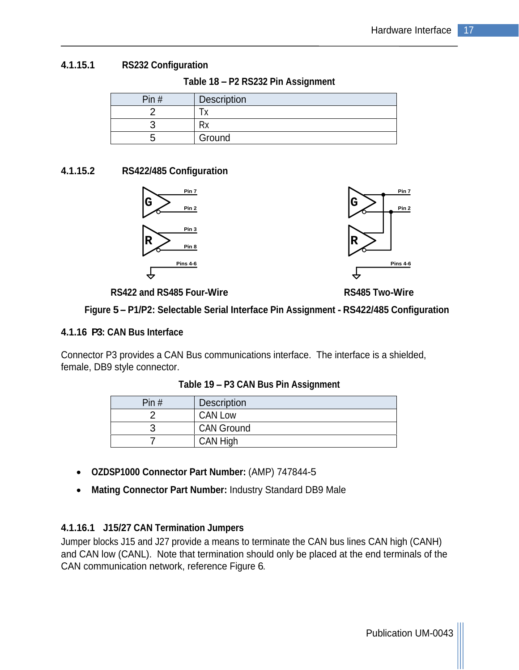#### **4.1.15.1 RS232 Configuration**

**Table 18 P2 RS232 Pin Assignment**

| Pin # | $\Gamma$<br><b>DESUINTL</b> |
|-------|-----------------------------|
|       |                             |
|       |                             |
|       | $2$ r $\sim$ ur<br>uwu      |

#### **4.1.15.2 RS422/485 Configuration**





**RS422 and RS485 Four-Wire RS485 Two-Wire**

**Figure 5 P1/P2: Selectable Serial Interface Pin Assignment - RS422/485 Configuration**

#### **4.1.16 P3: CAN Bus Interface**

Connector P3 provides a CAN Bus communications interface. The interface is a shielded, female, DB9 style connector.

| Pin # | <b>Description</b> |
|-------|--------------------|
|       | <b>CAN Low</b>     |
|       | <b>CAN Ground</b>  |
|       | CAN High           |

**Table 19 P3 CAN Bus Pin Assignment**

- **OZDSP1000 Connector Part Number:** (AMP) 747844-5
- **Mating Connector Part Number:** Industry Standard DB9 Male

#### **4.1.16.1 J15/27 CAN Termination Jumpers**

Jumper blocks J15 and J27 provide a means to terminate the CAN bus lines CAN high (CANH) and CAN low (CANL). Note that termination should only be placed at the end terminals of the CAN communication network, reference Figure 6.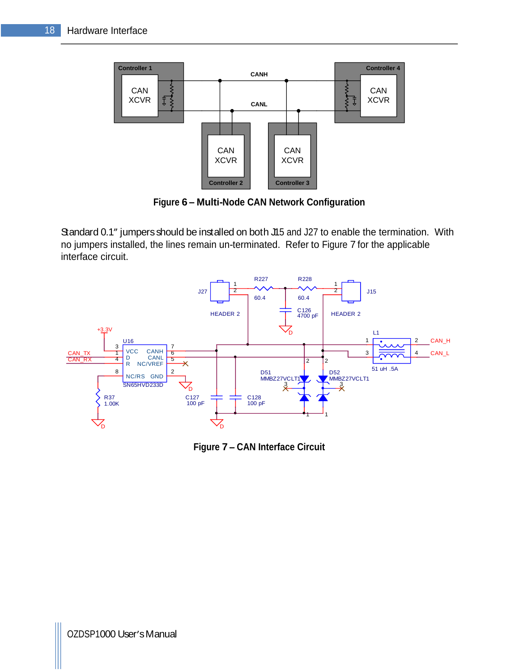

**Figure 6 Multi-Node CAN Network Configuration**

Standard 0.1" jumpers should be installed on both J15 and J27 to enable the termination. With no jumpers installed, the lines remain un-terminated. Refer to Figure 7 for the applicable interface circuit.



**Figure 7 CAN Interface Circuit**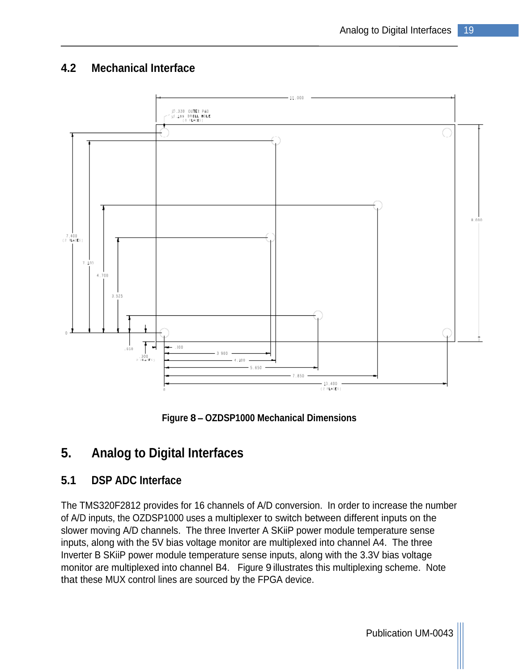# **4.2 Mechanical Interface**



**Figure 8 OZDSP1000 Mechanical Dimensions**

# **5. Analog to Digital Interfaces**

# **5.1 DSP ADC Interface**

The TMS320F2812 provides for 16 channels of A/D conversion. In order to increase the number of A/D inputs, the OZDSP1000 uses a multiplexer to switch between different inputs on the slower moving A/D channels. The three Inverter A SKiiP power module temperature sense inputs, along with the 5V bias voltage monitor are multiplexed into channel A4. The three Inverter B SKiiP power module temperature sense inputs, along with the 3.3V bias voltage monitor are multiplexed into channel B4. Figure 9 illustrates this multiplexing scheme. Note that these MUX control lines are sourced by the FPGA device.

Publication UM-0043 |||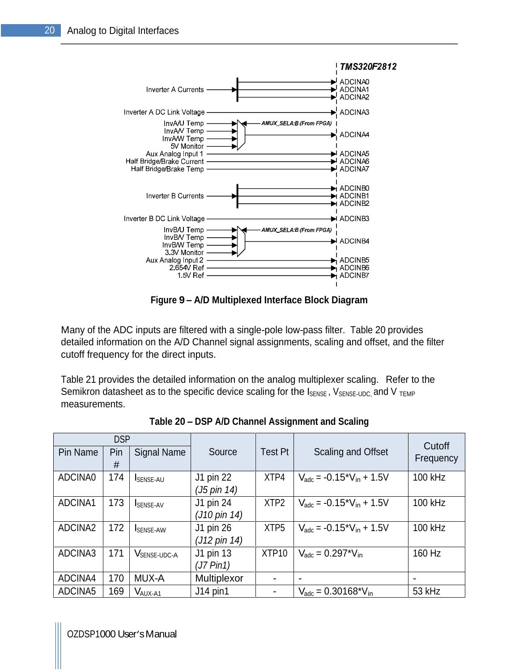

**Figure 9 A/D Multiplexed Interface Block Diagram**

Many of the ADC inputs are filtered with a single-pole low-pass filter. Table 20 provides detailed information on the A/D Channel signal assignments, scaling and offset, and the filter cutoff frequency for the direct inputs.

Table 21 provides the detailed information on the analog multiplexer scaling. Refer to the Semikron datasheet as to the specific device scaling for the  $I_{\text{SENSE}}$ ,  $V_{\text{SENSE-JDC}}$  and V  $_{\text{TEMP}}$ measurements. The contract of the contract of the contract of the contract of the contract of the contract of the contract of the contract of the contract of the contract of the contract of the contract of the contract of

| <b>DSP</b>                                            |                                             |                |                                                             | Cutoff    |
|-------------------------------------------------------|---------------------------------------------|----------------|-------------------------------------------------------------|-----------|
| Pin Name   Pin   Signal Name                          | Source                                      | <b>Test Pt</b> | <b>Scaling and Offset</b>                                   | Frequency |
| ADCINA0 174   ISENSE-AU                               | J1 pin 22                                   |                | $XTP4$ $V_{\text{adc}} = -0.15 \times V_{\text{in}} + 1.5V$ | 100 kHz   |
| $\sqrt{\text{ADCINA1}}$ 173 $\sqrt{\text{Isense-AV}}$ | $(J5 \text{ pin } 14)$<br>$J1$ pin 24       |                | $XTP2$ $V_{\text{adc}} = -0.15 \times V_{\text{in}} + 1.5V$ | 100 kHz   |
|                                                       | $\int (J10 \text{ pin } 14)$                |                |                                                             |           |
| ADCINA2 172 ISENSE-AW                                 | $J1$ pin 26<br>$\int (J12 \text{ pin } 14)$ |                | $XTP5$ $V_{\text{adc}} = -0.15 \times V_{\text{in}} + 1.5V$ | 100 kHz   |
| ADCINA3 171 VSENSE-UDC-A                              | $\vert$ J1 pin 13                           |                | $XTP10$ $V_{\text{adc}} = 0.297*V_{\text{in}}$              | 160 Hz    |
| ADCINA4   170   MUX-A                                 | $(J7 \text{ Pin1})$<br>Multiplexor          |                |                                                             |           |
| $\overline{ADCINA5}$ 169 $\overline{V}_{AUX-A1}$      | $ $ J14 pin1                                |                | $V_{\text{adc}} = 0.30168$ * $V_{\text{in}}$                | 53 kHz    |

**Table 20 DSP A/D Channel Assignment and Scaling**

OZDSP1000 User's Manual control of the control of the control of the control of the control of the control of the control of the control of the control of the control of the control of the control of the control of the con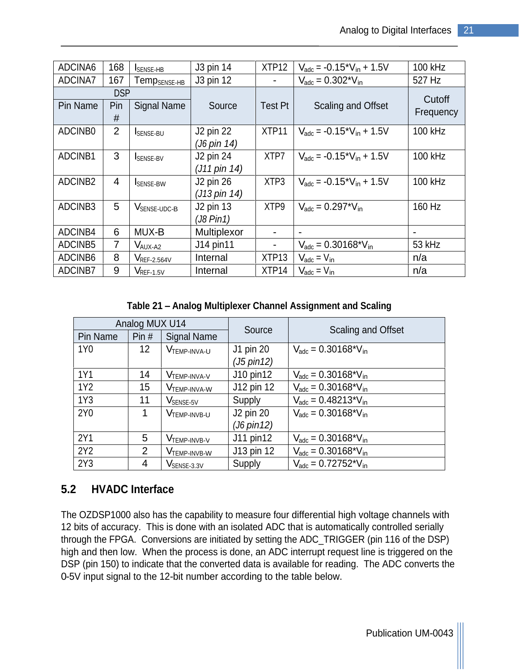| $\vert$ 168 $\vert$ I <sub>SENSE-HB</sub>            |                         |         | $XTP12$ $V_{\text{adc}} = -0.15 \times V_{\text{in}} + 1.5V$           | 100 kHz   |
|------------------------------------------------------|-------------------------|---------|------------------------------------------------------------------------|-----------|
| ADCINA7   167   Temp <sub>SENSE-HB</sub>   J3 pin 12 |                         |         | $V_{\text{adc}} = 0.302*V_{\text{in}}$                                 | 527 Hz    |
|                                                      |                         |         |                                                                        | Cutoff    |
| Pin Name   Pin   Signal Name                         | Source                  | Test Pt | <b>Scaling and Offset</b>                                              |           |
|                                                      |                         |         |                                                                        | Frequency |
| ADCINBO<br>SENSE-BU                                  | J2 pin 22               |         | $\sqrt{XTP11}$ $V_{\text{adc}} = -0.15 \times V_{\text{in}} + 1.5V$    | 100 kHz   |
|                                                      | (J6 pin 14)             |         |                                                                        |           |
| ADCINB1<br>SENSE-BV                                  | J2 pin 24               |         | $\overline{XTP7}$ $V_{\text{adc}} = -0.15 \times V_{\text{in}} + 1.5V$ | 100 kHz   |
|                                                      | $\int$ (J11 pin 14)     |         |                                                                        |           |
| ADCINB2<br><b>SENSE-BW</b>                           | J2 pin 26               |         | $\sqrt{XTP3}$ $V_{\text{adc}} = -0.15 \times V_{\text{in}} + 1.5V$     | 100 kHz   |
|                                                      | $(J13 \text{ pin } 14)$ |         |                                                                        |           |
| ADCINB <sub>3</sub><br>V <sub>SENSE-UDC-B</sub>      | $\vert$ J2 pin 13       |         | $XTP9$ $V_{\text{adc}} = 0.297*V_{\text{in}}$                          | 160 Hz    |
|                                                      | $(J8 P$ in1)            |         |                                                                        |           |
| ADCINB4<br>MUX-B                                     | Multiplexor             |         |                                                                        |           |
| ADCINB5<br>V <sub>AUX-A2</sub>                       | $\vert$ J14 pin11       |         | $V_{\text{adc}} = 0.30168^{\circ}V_{\text{in}}$                        | 53 kHz    |
| ADCINB6<br>$V_{REF-2.564V}$                          | Internal                |         | $XTP13$ $V_{\text{adc}} = V_{\text{in}}$                               | II/d      |
| ADCINB7<br>$V_{REF-1.5V}$                            | Internal                |         | $XTP14$ $V_{\text{adc}} = V_{\text{in}}$                               | n/a       |

**Table 21 Analog Multiplexer Channel Assignment and Scaling**

|                 | Analog MUX U14 |                            |                      |                                                 |
|-----------------|----------------|----------------------------|----------------------|-------------------------------------------------|
|                 |                | Pin Name Pin # Signal Name | Source               | <b>Scaling and Offset</b>                       |
| 1Y0             |                | 12 <b>VTEMP-INVA-U</b>     | J1 pin 20            | $V_{\text{adc}} = 0.30168^{\ast}V_{\text{in}}$  |
|                 |                |                            | (J5 pin12)           |                                                 |
| 1Y1             |                | $14$ $VTEMP-INVA-V$        | J10 pin12            | $V_{\text{adc}} = 0.30168^{\ast}V_{\text{in}}$  |
| 1Y2             | 15             | V <sub>TEMP-INVA-W</sub>   | J12 pin 12           | $V_{\text{adc}} = 0.30168*V_{\text{in}}$        |
| 1Y3             |                | V <sub>SENSE-5V</sub>      | Supply               | $V_{\text{adc}} = 0.48213 \times V_{\text{in}}$ |
| 2Y0             |                | V <sub>TEMP-INVB-U</sub>   | J2 pin 20            | $V_{\text{adc}} = 0.30168*V_{\text{in}}$        |
|                 |                |                            | $(J6 \text{ pin12})$ |                                                 |
| 2Y1             |                | V <sub>TEMP-INVB-V</sub>   | $J11$ pin12          | $V_{\text{adc}} = 0.30168^{\ast}V_{\text{in}}$  |
| 2Y <sub>2</sub> |                | <b>V</b> TEMP-INVB-W       | $J13$ pin 12         | $V_{\text{adc}} = 0.30168^{\ast}V_{\text{in}}$  |
| 2Y3             |                | VSENSE-3.3V                | Supply               | $V_{\text{adc}} = 0.72752 \times V_{\text{in}}$ |

# **5.2 HVADC Interface**

The OZDSP1000 also has the capability to measure four differential high voltage channels with 12 bits of accuracy. This is done with an isolated ADC that is automatically controlled serially through the FPGA. Conversions are initiated by setting the ADC\_TRIGGER (pin 116 of the DSP) high and then low. When the process is done, an ADC interrupt request line is triggered on the DSP (pin 150) to indicate that the converted data is available for reading. The ADC converts the 0-5V input signal to the 12-bit number according to the table below.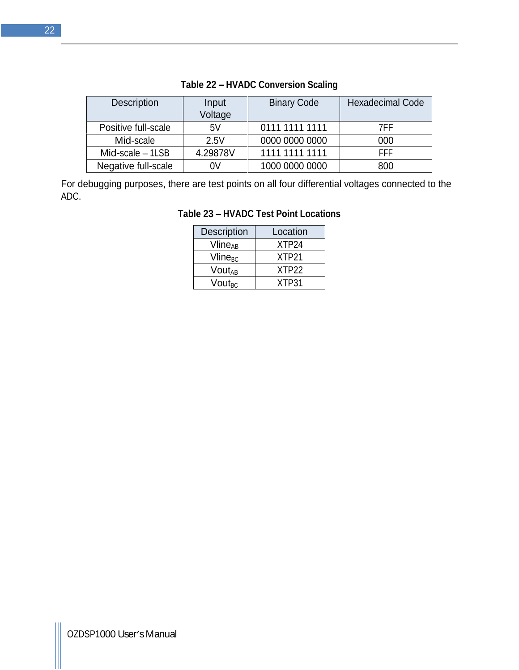| Description         | Input    | <b>Binary Code</b> | Hexadecimal Code |
|---------------------|----------|--------------------|------------------|
|                     | Voltage  |                    |                  |
| Positive full-scale | EVI      | 0111 1111 1111     | 7FF<br>.         |
| Mid-scale           | 2.5V     | 0000 0000 0000     | 000              |
| Mid-scale - 1LSB    | 4.29878V | 1111 1111 1111     | <b>FFF</b>       |
| Negative full-scale |          | 1000 0000 0000     | 800              |

#### **Table 22 HVADC Conversion Scaling**

For debugging purposes, there are test points on all four differential voltages connected to the ADC.

| Description         | Location |
|---------------------|----------|
| Vline <sub>AB</sub> | XTP24    |
| Vline <sub>BC</sub> | XTP21    |
| <b>VoutAB</b>       | XTP22    |
| Vout <sub>BC</sub>  | XTP31    |

## **Table 23 HVADC Test Point Locations**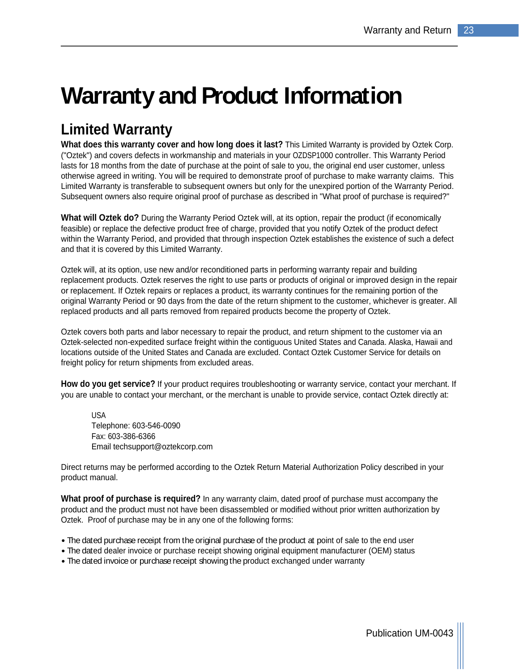# **Warranty and Product Information**

# **Limited Warranty**

**What does this warranty cover and how long does it last?** This Limited Warranty is provided by Oztek Corp. ("Oztek") and covers defects in workmanship and materials in your OZDSP1000 controller. This Warranty Period lasts for 18 months from the date of purchase at the point of sale to you, the original end user customer, unless otherwise agreed in writing. You will be required to demonstrate proof of purchase to make warranty claims. This Limited Warranty is transferable to subsequent owners but only for the unexpired portion of the Warranty Period. Subsequent owners also require original proof of purchase as described in "What proof of purchase is required?"

**What will Oztek do?** During the Warranty Period Oztek will, at its option, repair the product (if economically feasible) or replace the defective product free of charge, provided that you notify Oztek of the product defect within the Warranty Period, and provided that through inspection Oztek establishes the existence of such a defect and that it is covered by this Limited Warranty.

Oztek will, at its option, use new and/or reconditioned parts in performing warranty repair and building replacement products. Oztek reserves the right to use parts or products of original or improved design in the repair or replacement. If Oztek repairs or replaces a product, its warranty continues for the remaining portion of the original Warranty Period or 90 days from the date of the return shipment to the customer, whichever is greater. All replaced products and all parts removed from repaired products become the property of Oztek.

Oztek covers both parts and labor necessary to repair the product, and return shipment to the customer via an Oztek-selected non-expedited surface freight within the contiguous United States and Canada. Alaska, Hawaii and locations outside of the United States and Canada are excluded. Contact Oztek Customer Service for details on freight policy for return shipments from excluded areas.

**How do you get service?** If your product requires troubleshooting or warranty service, contact your merchant. If you are unable to contact your merchant, or the merchant is unable to provide service, contact Oztek directly at:

USA and the contract of the contract of the contract of the contract of the contract of the contract of the contract of the contract of the contract of the contract of the contract of the contract of the contract of the co Telephone: 603-546-0090 Fax: 603-386-6366 Email techsupport@oztekcorp.com

Direct returns may be performed according to the Oztek Return Material Authorization Policy described in your product manual.

**What proof of purchase is required?** In any warranty claim, dated proof of purchase must accompany the product and the product must not have been disassembled or modified without prior written authorization by Oztek. Proof of purchase may be in any one of the following forms:

- The dated purchase receipt from the original purchase of the product at point of sale to the end user
- The dated dealer invoice or purchase receipt showing original equipment manufacturer (OEM) status
- The dated invoice or purchase receipt showing the product exchanged under warranty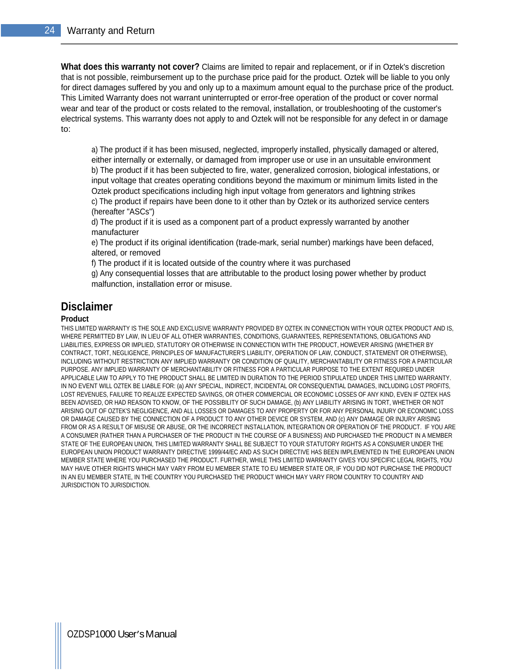**What does this warranty not cover?** Claims are limited to repair and replacement, or if in Oztek's discretion that is not possible, reimbursement up to the purchase price paid for the product. Oztek will be liable to you only for direct damages suffered by you and only up to a maximum amount equal to the purchase price of the product. This Limited Warranty does not warrant uninterrupted or error-free operation of the product or cover normal wear and tear of the product or costs related to the removal, installation, or troubleshooting of the customer's electrical systems. This warranty does not apply to and Oztek will not be responsible for any defect in or damage to:

a) The product if it has been misused, neglected, improperly installed, physically damaged or altered, either internally or externally, or damaged from improper use or use in an unsuitable environment b) The product if it has been subjected to fire, water, generalized corrosion, biological infestations, or input voltage that creates operating conditions beyond the maximum or minimum limits listed in the Oztek product specifications including high input voltage from generators and lightning strikes c) The product if repairs have been done to it other than by Oztek or its authorized service centers (hereafter "ASCs")

d) The product if it is used as a component part of a product expressly warranted by another manufacturer

e) The product if its original identification (trade-mark, serial number) markings have been defaced, altered, or removed

f) The product if it is located outside of the country where it was purchased

g) Any consequential losses that are attributable to the product losing power whether by product malfunction, installation error or misuse.

### **Disclaimer**

#### **Product**

THIS LIMITED WARRANTY IS THE SOLE AND EXCLUSIVE WARRANTY PROVIDED BY OZTEK IN CONNECTION WITH YOUR OZTEK PRODUCT AND IS, WHERE PERMITTED BY LAW, IN LIEU OF ALL OTHER WARRANTIES, CONDITIONS, GUARANTEES, REPRESENTATIONS, OBLIGATIONS AND LIABILITIES, EXPRESS OR IMPLIED, STATUTORY OR OTHERWISE IN CONNECTION WITH THE PRODUCT, HOWEVER ARISING (WHETHER BY CONTRACT, TORT, NEGLIGENCE, PRINCIPLES OF MANUFACTURER'S LIABILITY, OPERATION OF LAW, CONDUCT, STATEMENT OR OTHERWISE), INCLUDING WITHOUT RESTRICTION ANY IMPLIED WARRANTY OR CONDITION OF QUALITY, MERCHANTABILITY OR FITNESS FOR A PARTICULAR PURPOSE. ANY IMPLIED WARRANTY OF MERCHANTABILITY OR FITNESS FOR A PARTICULAR PURPOSE TO THE EXTENT REQUIRED UNDER APPLICABLE LAW TO APPLY TO THE PRODUCT SHALL BE LIMITED IN DURATION TO THE PERIOD STIPULATED UNDER THIS LIMITED WARRANTY. IN NO EVENT WILL OZTEK BE LIABLE FOR: (a) ANY SPECIAL, INDIRECT, INCIDENTAL OR CONSEQUENTIAL DAMAGES, INCLUDING LOST PROFITS, LOST REVENUES, FAILURE TO REALIZE EXPECTED SAVINGS, OR OTHER COMMERCIAL OR ECONOMIC LOSSES OF ANY KIND, EVEN IF OZTEK HAS BEEN ADVISED, OR HAD REASON TO KNOW, OF THE POSSIBILITY OF SUCH DAMAGE, (b) ANY LIABILITY ARISING IN TORT, WHETHER OR NOT ARISING OUT OF OZTEK'S NEGLIGENCE, AND ALL LOSSES OR DAMAGES TO ANY PROPERTY OR FOR ANY PERSONAL INJURY OR ECONOMIC LOSS OR DAMAGE CAUSED BY THE CONNECTION OF A PRODUCT TO ANY OTHER DEVICE OR SYSTEM, AND (c) ANY DAMAGE OR INJURY ARISING FROM OR AS A RESULT OF MISUSE OR ABUSE, OR THE INCORRECT INSTALLATION, INTEGRATION OR OPERATION OF THE PRODUCT. IF YOU ARE A CONSUMER (RATHER THAN A PURCHASER OF THE PRODUCT IN THE COURSE OF A BUSINESS) AND PURCHASED THE PRODUCT IN A MEMBER STATE OF THE EUROPEAN UNION, THIS LIMITED WARRANTY SHALL BE SUBJECT TO YOUR STATUTORY RIGHTS AS A CONSUMER UNDER THE EUROPEAN UNION PRODUCT WARRANTY DIRECTIVE 1999/44/EC AND AS SUCH DIRECTIVE HAS BEEN IMPLEMENTED IN THE EUROPEAN UNION MEMBER STATE WHERE YOU PURCHASED THE PRODUCT. FURTHER, WHILE THIS LIMITED WARRANTY GIVES YOU SPECIFIC LEGAL RIGHTS, YOU MAY HAVE OTHER RIGHTS WHICH MAY VARY FROM EU MEMBER STATE TO EU MEMBER STATE OR, IF YOU DID NOT PURCHASE THE PRODUCT IN AN EU MEMBER STATE, IN THE COUNTRY YOU PURCHASED THE PRODUCT WHICH MAY VARY FROM COUNTRY TO COUNTRY AND JURISDICTION TO JURISDICTION.